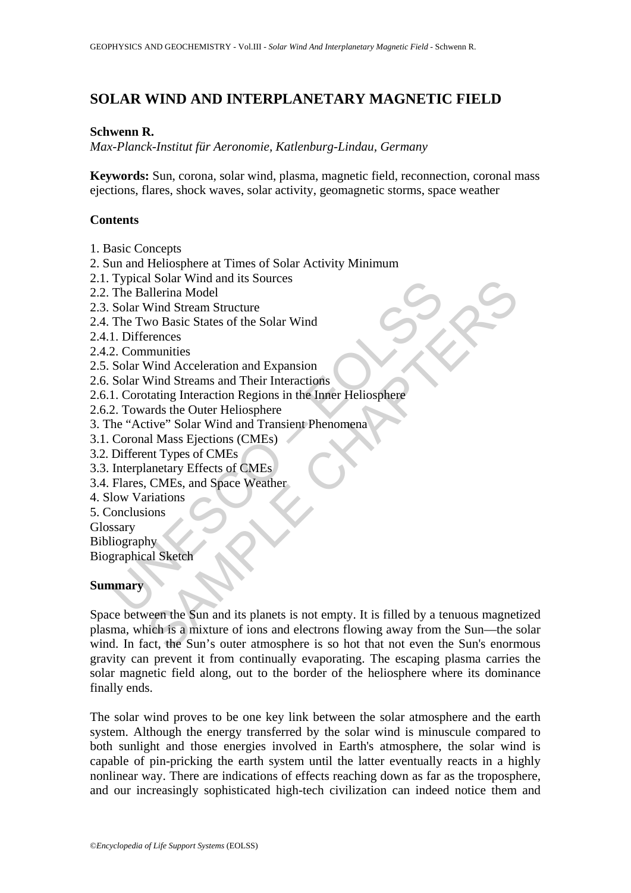# **SOLAR WIND AND INTERPLANETARY MAGNETIC FIELD**

### **Schwenn R.**

*Max-Planck-Institut für Aeronomie, Katlenburg-Lindau, Germany* 

**Keywords:** Sun, corona, solar wind, plasma, magnetic field, reconnection, coronal mass ejections, flares, shock waves, solar activity, geomagnetic storms, space weather

## **Contents**

- 1. Basic Concepts
- 2. Sun and Heliosphere at Times of Solar Activity Minimum
- 2.1. Typical Solar Wind and its Sources
- 2.2. The Ballerina Model
- 2.3. Solar Wind Stream Structure
- 2.4. The Two Basic States of the Solar Wind
- 2.4.1. Differences
- 2.4.2. Communities
- 2.5. Solar Wind Acceleration and Expansion
- 2.6. Solar Wind Streams and Their Interactions
- Typical Solar Wind and Its Solutes<br>
The Ballerina Model<br>
Solar Wind Stream Structure<br>
The Two Basic States of the Solar Wind<br>
1. Differences<br>
2. Communities<br>
Solar Wind Acceleration and Expansion<br>
Solar Wind Acceleration R 2.6.1. Corotating Interaction Regions in the Inner Heliosphere
- 2.6.2. Towards the Outer Heliosphere
- 3. The "Active" Solar Wind and Transient Phenomena
- 3.1. Coronal Mass Ejections (CMEs)
- 3.2. Different Types of CMEs
- 3.3. Interplanetary Effects of CMEs
- 3.4. Flares, CMEs, and Space Weather
- 4. Slow Variations
- 5. Conclusions
- Glossary

**Bibliography** 

Biographical Sketch

## **Summary**

Solar wind and its Sources<br>
allerina Model<br>
Wind Stream Structure<br>
wo Basic States of the Solar Wind<br>
Mind Acceleration and Expansion<br>
munities<br>
Wind Acceleration Regions in the Inner Heliosphere<br>
ards the Outer Heliospher Space between the Sun and its planets is not empty. It is filled by a tenuous magnetized plasma, which is a mixture of ions and electrons flowing away from the Sun—the solar wind. In fact, the Sun's outer atmosphere is so hot that not even the Sun's enormous gravity can prevent it from continually evaporating. The escaping plasma carries the solar magnetic field along, out to the border of the heliosphere where its dominance finally ends.

The solar wind proves to be one key link between the solar atmosphere and the earth system. Although the energy transferred by the solar wind is minuscule compared to both sunlight and those energies involved in Earth's atmosphere, the solar wind is capable of pin-pricking the earth system until the latter eventually reacts in a highly nonlinear way. There are indications of effects reaching down as far as the troposphere, and our increasingly sophisticated high-tech civilization can indeed notice them and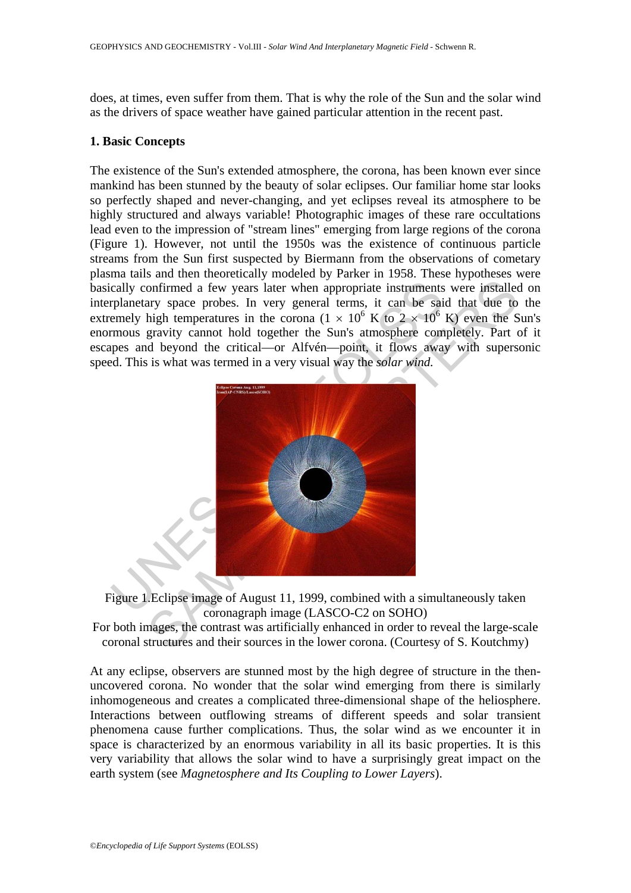does, at times, even suffer from them. That is why the role of the Sun and the solar wind as the drivers of space weather have gained particular attention in the recent past.

#### **1. Basic Concepts**

The existence of the Sun's extended atmosphere, the corona, has been known ever since mankind has been stunned by the beauty of solar eclipses. Our familiar home star looks so perfectly shaped and never-changing, and yet eclipses reveal its atmosphere to be highly structured and always variable! Photographic images of these rare occultations lead even to the impression of "stream lines" emerging from large regions of the corona (Figure 1). However, not until the 1950s was the existence of continuous particle streams from the Sun first suspected by Biermann from the observations of cometary plasma tails and then theoretically modeled by Parker in 1958. These hypotheses were basically confirmed a few years later when appropriate instruments were installed on interplanetary space probes. In very general terms, it can be said that due to the extremely high temperatures in the corona ( $1 \times 10^6$  K to  $2 \times 10^6$  K) even the Sun's enormous gravity cannot hold together the Sun's atmosphere completely. Part of it escapes and beyond the critical—or Alfvén—point, it flows away with supersonic speed. This is what was termed in a very visual way the *solar wind.* 



Figure 1.Eclipse image of August 11, 1999, combined with a simultaneously taken coronagraph image (LASCO-C2 on SOHO)

For both images, the contrast was artificially enhanced in order to reveal the large-scale coronal structures and their sources in the lower corona. (Courtesy of S. Koutchmy)

At any eclipse, observers are stunned most by the high degree of structure in the thenuncovered corona. No wonder that the solar wind emerging from there is similarly inhomogeneous and creates a complicated three-dimensional shape of the heliosphere. Interactions between outflowing streams of different speeds and solar transient phenomena cause further complications. Thus, the solar wind as we encounter it in space is characterized by an enormous variability in all its basic properties. It is this very variability that allows the solar wind to have a surprisingly great impact on the earth system (see *Magnetosphere and Its Coupling to Lower Layers*).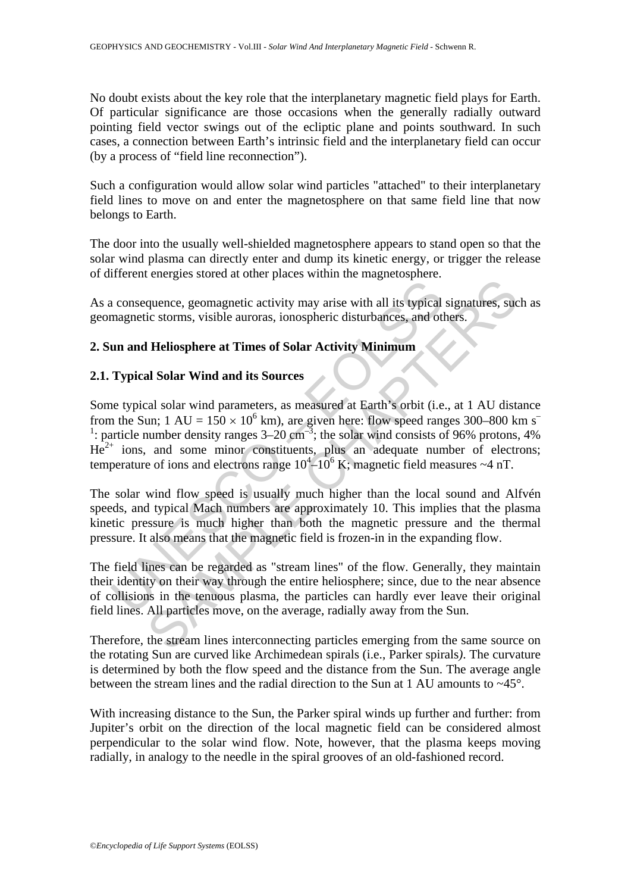No doubt exists about the key role that the interplanetary magnetic field plays for Earth. Of particular significance are those occasions when the generally radially outward pointing field vector swings out of the ecliptic plane and points southward. In such cases, a connection between Earth's intrinsic field and the interplanetary field can occur (by a process of "field line reconnection").

Such a configuration would allow solar wind particles "attached" to their interplanetary field lines to move on and enter the magnetosphere on that same field line that now belongs to Earth.

The door into the usually well-shielded magnetosphere appears to stand open so that the solar wind plasma can directly enter and dump its kinetic energy, or trigger the release of different energies stored at other places within the magnetosphere.

As a consequence, geomagnetic activity may arise with all its typical signatures, such as geomagnetic storms, visible auroras, ionospheric disturbances, and others.

## **2. Sun and Heliosphere at Times of Solar Activity Minimum**

## **2.1. Typical Solar Wind and its Sources**

a consequence, geomagnetic activity may arise with all its typical<br>magnetic storms, visible auroras, ionospheric disturbances, and of<br>**un and Heliosphere at Times of Solar Activity Mininum**<br>**Typical Solar Wind and its Sou EXERCT AND THE CONSTRAINS IN THE CONSTRANCE (SCIENCIAS CALC (SCIENCIAS CALC (SCIENCIAS CALC CONDUCTS).**<br> **Heliosphere at Times of Solar Activity Minimum**<br> **Al Solar Wind and its Sources**<br> **Al Solar Wind and its Sources**<br> Some typical solar wind parameters, as measured at Earth's orbit (i.e., at 1 AU distance from the Sun;  $1 \text{ AU} = 150 \times 10^6 \text{ km}$ , are given here: flow speed ranges 300–800 km s<sup>-</sup> <sup>1</sup>: particle number density ranges  $3-20 \text{ cm}^{-3}$ ; the solar wind consists of 96% protons, 4%  $He<sup>2+</sup>$  ions, and some minor constituents, plus an adequate number of electrons; temperature of ions and electrons range  $10^4 - 10^6$  K; magnetic field measures  $\sim$ 4 nT.

The solar wind flow speed is usually much higher than the local sound and Alfvén speeds, and typical Mach numbers are approximately 10. This implies that the plasma kinetic pressure is much higher than both the magnetic pressure and the thermal pressure. It also means that the magnetic field is frozen-in in the expanding flow.

The field lines can be regarded as "stream lines" of the flow. Generally, they maintain their identity on their way through the entire heliosphere; since, due to the near absence of collisions in the tenuous plasma, the particles can hardly ever leave their original field lines. All particles move, on the average, radially away from the Sun.

Therefore, the stream lines interconnecting particles emerging from the same source on the rotating Sun are curved like Archimedean spirals (i.e., Parker spirals*)*. The curvature is determined by both the flow speed and the distance from the Sun. The average angle between the stream lines and the radial direction to the Sun at 1 AU amounts to  $\approx 45^{\circ}$ .

With increasing distance to the Sun, the Parker spiral winds up further and further: from Jupiter's orbit on the direction of the local magnetic field can be considered almost perpendicular to the solar wind flow. Note, however, that the plasma keeps moving radially, in analogy to the needle in the spiral grooves of an old-fashioned record.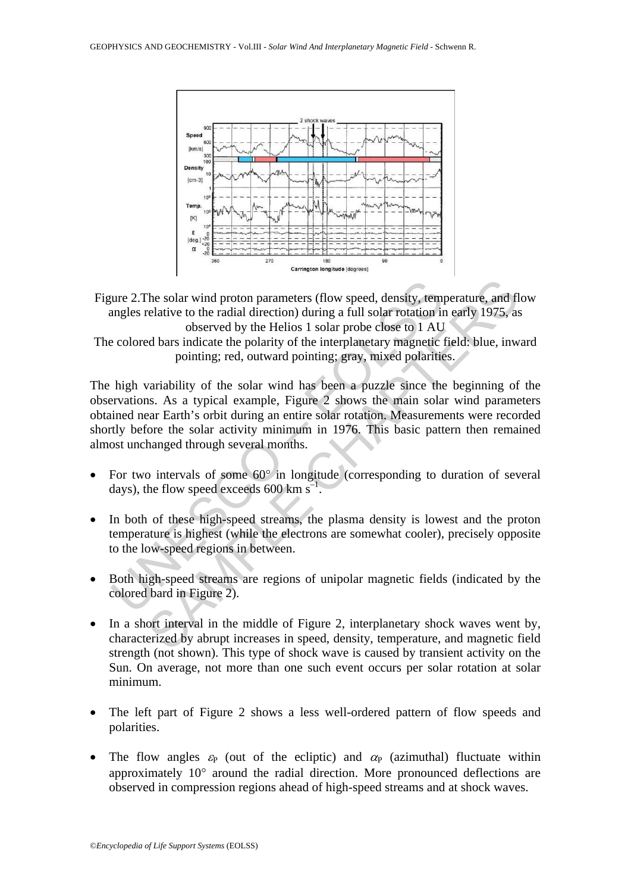



The colored bars indicate the polarity of the interplanetary magnetic field: blue, inward pointing; red, outward pointing; gray, mixed polarities.

cure 2. The solar wind proton parameters (flow speed, density, tem<br>angles relative to the radial direction) during a full solar rotation in<br>observed by the Helios 1 solar probe close to 1 AU<br>e colored bars indicate the po The solar wind proton parameters (flow speed, density, temperature, and flective to the radial direction) during a full solar rotation in early 1975, as observed by the Helios 1 solar probe close to 1 AU data incide the p The high variability of the solar wind has been a puzzle since the beginning of the observations. As a typical example, Figure 2 shows the main solar wind parameters obtained near Earth's orbit during an entire solar rotation. Measurements were recorded shortly before the solar activity minimum in 1976. This basic pattern then remained almost unchanged through several months.

- For two intervals of some 60<sup>°</sup> in longitude (corresponding to duration of several days), the flow speed exceeds 600 km  $s^{-1}$ .
- In both of these high-speed streams, the plasma density is lowest and the proton temperature is highest (while the electrons are somewhat cooler), precisely opposite to the low-speed regions in between.
- Both high-speed streams are regions of unipolar magnetic fields (indicated by the colored bard in Figure 2).
- In a short interval in the middle of Figure 2, interplanetary shock waves went by, characterized by abrupt increases in speed, density, temperature, and magnetic field strength (not shown). This type of shock wave is caused by transient activity on the Sun. On average, not more than one such event occurs per solar rotation at solar minimum.
- The left part of Figure 2 shows a less well-ordered pattern of flow speeds and polarities.
- The flow angles  $\varepsilon_P$  (out of the ecliptic) and  $\alpha_P$  (azimuthal) fluctuate within approximately 10° around the radial direction. More pronounced deflections are observed in compression regions ahead of high-speed streams and at shock waves.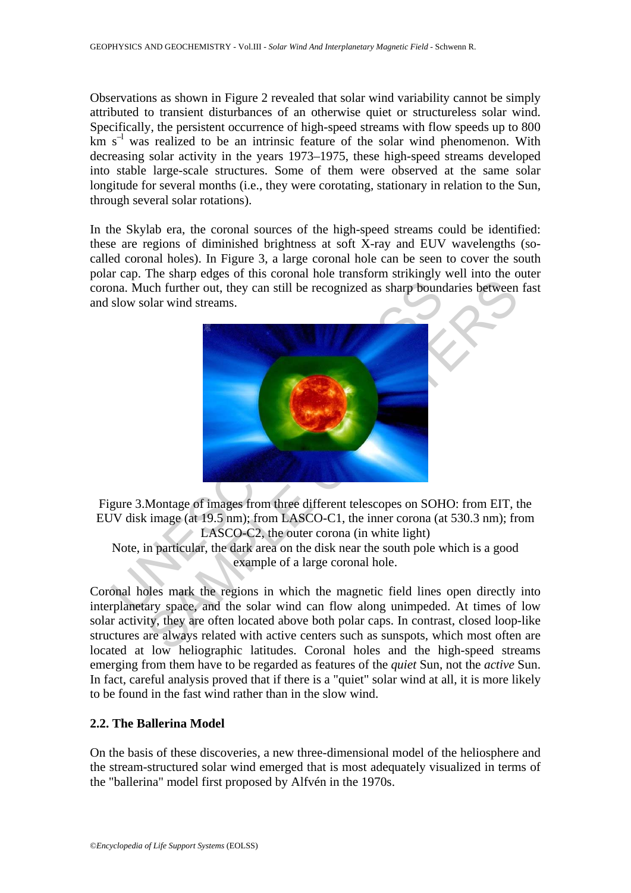Observations as shown in Figure 2 revealed that solar wind variability cannot be simply attributed to transient disturbances of an otherwise quiet or structureless solar wind. Specifically, the persistent occurrence of high-speed streams with flow speeds up to 800  $km s<sup>-1</sup>$  was realized to be an intrinsic feature of the solar wind phenomenon. With decreasing solar activity in the years 1973–1975, these high-speed streams developed into stable large-scale structures. Some of them were observed at the same solar longitude for several months (i.e., they were corotating, stationary in relation to the Sun, through several solar rotations).

In the Skylab era, the coronal sources of the high-speed streams could be identified: these are regions of diminished brightness at soft X-ray and EUV wavelengths (socalled coronal holes). In Figure 3, a large coronal hole can be seen to cover the south polar cap. The sharp edges of this coronal hole transform strikingly well into the outer corona. Much further out, they can still be recognized as sharp boundaries between fast and slow solar wind streams.



Figure 3.Montage of images from three different telescopes on SOHO: from EIT, the EUV disk image (at 19.5 nm); from LASCO-C1, the inner corona (at 530.3 nm); from LASCO-C2, the outer corona (in white light) Note, in particular, the dark area on the disk near the south pole which is a good

example of a large coronal hole.

Coronal holes mark the regions in which the magnetic field lines open directly into interplanetary space, and the solar wind can flow along unimpeded. At times of low solar activity, they are often located above both polar caps. In contrast, closed loop-like structures are always related with active centers such as sunspots, which most often are located at low heliographic latitudes. Coronal holes and the high-speed streams emerging from them have to be regarded as features of the *quiet* Sun, not the *active* Sun. In fact, careful analysis proved that if there is a "quiet" solar wind at all, it is more likely to be found in the fast wind rather than in the slow wind.

## **2.2. The Ballerina Model**

On the basis of these discoveries, a new three-dimensional model of the heliosphere and the stream-structured solar wind emerged that is most adequately visualized in terms of the "ballerina" model first proposed by Alfvén in the 1970s.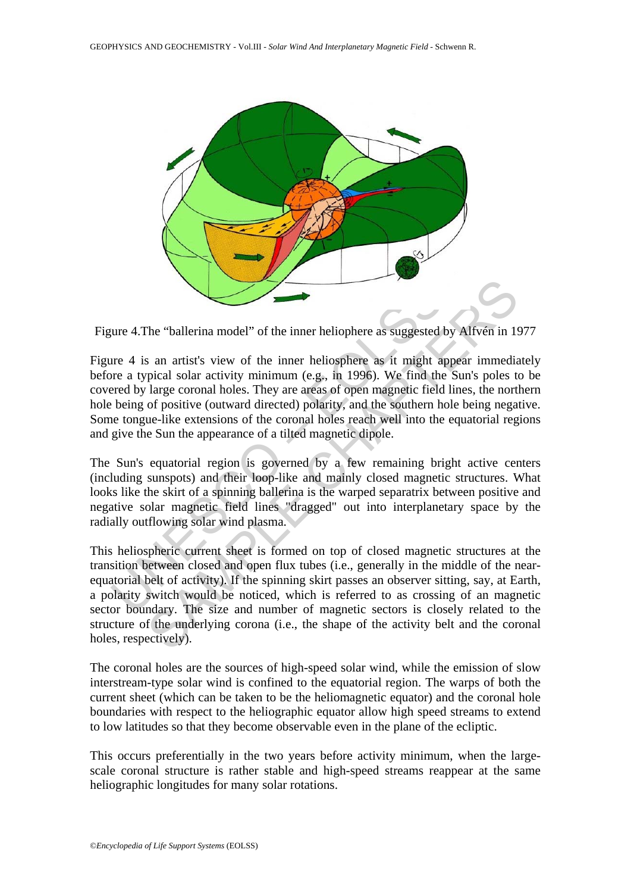

Figure 4.The "ballerina model" of the inner heliophere as suggested by Alfvén in 1977

The "ballerina model" of the inner heliophere as suggested that are 4 is an artist's view of the inner heliophere as it might a lower a typical solar activity minimum (e.g., in 1996). We find the rered by large coronal hol Figure 4 is an artist's view of the inner heliosphere as it might appear immediately before a typical solar activity minimum (e.g., in 1996). We find the Sun's poles to be covered by large coronal holes. They are areas of open magnetic field lines, the northern hole being of positive (outward directed) polarity, and the southern hole being negative. Some tongue-like extensions of the coronal holes reach well into the equatorial regions and give the Sun the appearance of a tilted magnetic dipole.

The Sun's equatorial region is governed by a few remaining bright active centers (including sunspots) and their loop-like and mainly closed magnetic structures. What looks like the skirt of a spinning ballerina is the warped separatrix between positive and negative solar magnetic field lines "dragged" out into interplanetary space by the radially outflowing solar wind plasma.

The "ballerina model" of the inner heliophere as suggested by Affven in 15<br>
in an artist's view of the inner heliosphere as it might appear immedia<br>
pical solar activity minimum (e.g., in 1996). We find the Sun's poles to<br> This heliospheric current sheet is formed on top of closed magnetic structures at the transition between closed and open flux tubes (i.e., generally in the middle of the nearequatorial belt of activity). If the spinning skirt passes an observer sitting, say, at Earth, a polarity switch would be noticed, which is referred to as crossing of an magnetic sector boundary. The size and number of magnetic sectors is closely related to the structure of the underlying corona (i.e., the shape of the activity belt and the coronal holes, respectively).

The coronal holes are the sources of high-speed solar wind, while the emission of slow interstream-type solar wind is confined to the equatorial region. The warps of both the current sheet (which can be taken to be the heliomagnetic equator) and the coronal hole boundaries with respect to the heliographic equator allow high speed streams to extend to low latitudes so that they become observable even in the plane of the ecliptic.

This occurs preferentially in the two years before activity minimum, when the largescale coronal structure is rather stable and high-speed streams reappear at the same heliographic longitudes for many solar rotations.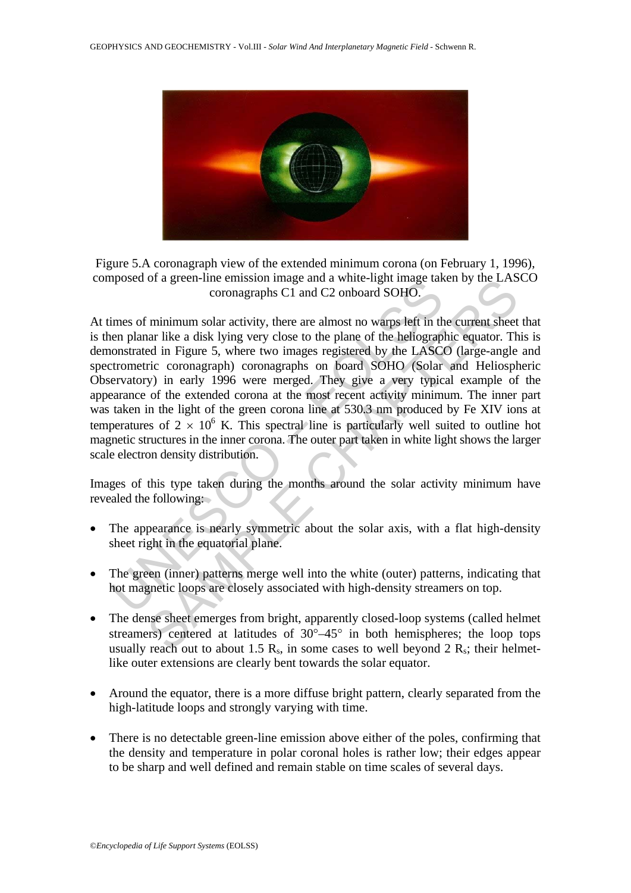

Figure 5.A coronagraph view of the extended minimum corona (on February 1, 1996), composed of a green-line emission image and a white-light image taken by the LASCO coronagraphs C1 and C2 onboard SOHO.

posed or a green-inte emission image and a wine-ingit image take<br>coronagraphs C1 and C2 onboard SOHO.<br>imes of minimum solar activity, there are almost no warps left in the<br>en planar like a disk lying very close to the pla or a green-ine emission image and a white-ngm image taken by the LAS<br>coronagraphs C1 and C2 onboard SOHO.<br>Thinimum solar activity, there are almost no warps left in the current sheet<br>are like a disk lying very close to th At times of minimum solar activity, there are almost no warps left in the current sheet that is then planar like a disk lying very close to the plane of the heliographic equator. This is demonstrated in Figure 5, where two images registered by the LASCO (large-angle and spectrometric coronagraph) coronagraphs on board SOHO (Solar and Heliospheric Observatory) in early 1996 were merged. They give a very typical example of the appearance of the extended corona at the most recent activity minimum. The inner part was taken in the light of the green corona line at 530.3 nm produced by Fe XIV ions at temperatures of  $2 \times 10^6$  K. This spectral line is particularly well suited to outline hot magnetic structures in the inner corona. The outer part taken in white light shows the larger scale electron density distribution.

Images of this type taken during the months around the solar activity minimum have revealed the following:

- The appearance is nearly symmetric about the solar axis, with a flat high-density sheet right in the equatorial plane.
- The green (inner) patterns merge well into the white (outer) patterns, indicating that hot magnetic loops are closely associated with high-density streamers on top.
- The dense sheet emerges from bright, apparently closed-loop systems (called helmet streamers) centered at latitudes of  $30^{\circ} - 45^{\circ}$  in both hemispheres; the loop tops usually reach out to about 1.5  $R_s$ , in some cases to well beyond 2  $R_s$ ; their helmetlike outer extensions are clearly bent towards the solar equator.
- Around the equator, there is a more diffuse bright pattern, clearly separated from the high-latitude loops and strongly varying with time.
- There is no detectable green-line emission above either of the poles, confirming that the density and temperature in polar coronal holes is rather low; their edges appear to be sharp and well defined and remain stable on time scales of several days.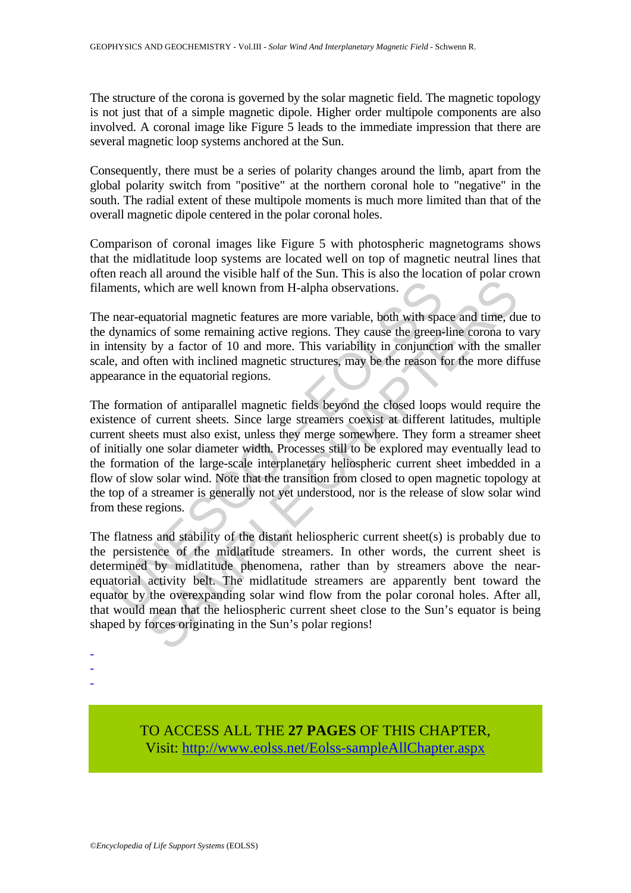The structure of the corona is governed by the solar magnetic field. The magnetic topology is not just that of a simple magnetic dipole. Higher order multipole components are also involved. A coronal image like Figure 5 leads to the immediate impression that there are several magnetic loop systems anchored at the Sun.

Consequently, there must be a series of polarity changes around the limb, apart from the global polarity switch from "positive" at the northern coronal hole to "negative" in the south. The radial extent of these multipole moments is much more limited than that of the overall magnetic dipole centered in the polar coronal holes.

Comparison of coronal images like Figure 5 with photospheric magnetograms shows that the midlatitude loop systems are located well on top of magnetic neutral lines that often reach all around the visible half of the Sun. This is also the location of polar crown filaments, which are well known from H-alpha observations.

The near-equatorial magnetic features are more variable, both with space and time, due to the dynamics of some remaining active regions. They cause the green-line corona to vary in intensity by a factor of 10 and more. This variability in conjunction with the smaller scale, and often with inclined magnetic structures, may be the reason for the more diffuse appearance in the equatorial regions.

ments, which are well known from H-alpha observations.<br>
near-equatorial magnetic features are more variable, both with spa<br>
dynamics of some remaining active regions. They cause the green-<br>
tensity by a factor of 10 and mo which are well known from H-alpha observations.<br>
supartional magnetic features are more variable, both with space and time, dues of some remaining active regions. They cause the green-line corona to by a factor of 10 and m The formation of antiparallel magnetic fields beyond the closed loops would require the existence of current sheets. Since large streamers coexist at different latitudes, multiple current sheets must also exist, unless they merge somewhere. They form a streamer sheet of initially one solar diameter width. Processes still to be explored may eventually lead to the formation of the large-scale interplanetary heliospheric current sheet imbedded in a flow of slow solar wind. Note that the transition from closed to open magnetic topology at the top of a streamer is generally not yet understood, nor is the release of slow solar wind from these regions.

The flatness and stability of the distant heliospheric current sheet(s) is probably due to the persistence of the midlatitude streamers. In other words, the current sheet is determined by midlatitude phenomena, rather than by streamers above the nearequatorial activity belt. The midlatitude streamers are apparently bent toward the equator by the overexpanding solar wind flow from the polar coronal holes. After all, that would mean that the heliospheric current sheet close to the Sun's equator is being shaped by forces originating in the Sun's polar regions!

- -

- 
- -

TO ACCESS ALL THE **27 PAGES** OF THIS CHAPTER, Visit: [http://www.eolss.net/Eolss-sampleAllChapter.aspx](https://www.eolss.net/ebooklib/sc_cart.aspx?File=E6-16-08-05)